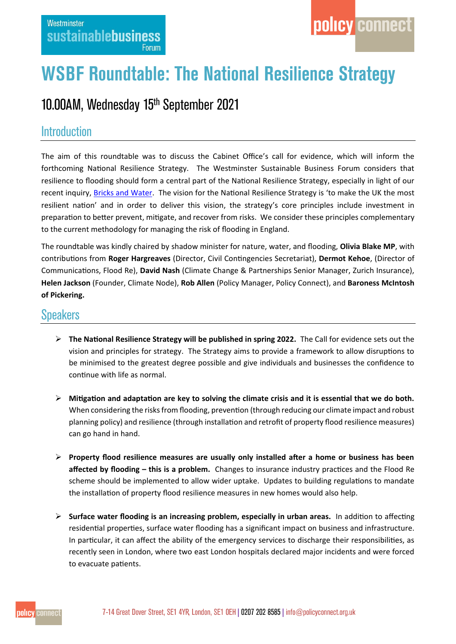## **WSBF Roundtable: The National Resilience Strategy**

## 10.00AM, Wednesday 15<sup>th</sup> September 2021

## **Introduction**

The aim of this roundtable was to discuss the Cabinet Office's call for evidence, which will inform the forthcoming National Resilience Strategy. The Westminster Sustainable Business Forum considers that resilience to flooding should form a central part of the National Resilience Strategy, especially in light of our recent inquiry, [Bricks and Water.](https://www.policyconnect.org.uk/research/bricks-water-building-resilience-englands-homes) The vision for the National Resilience Strategy is 'to make the UK the most resilient nation' and in order to deliver this vision, the strategy's core principles include investment in preparation to better prevent, mitigate, and recover from risks.We consider these principles complementary to the current methodology for managing the risk of flooding in England.

The roundtable was kindly chaired by shadow minister for nature, water, and flooding, **Olivia Blake MP**, with contributions from **Roger Hargreaves** (Director, Civil Contingencies Secretariat), **Dermot Kehoe**, (Director of Communications, Flood Re), **David Nash** (Climate Change & Partnerships Senior Manager, Zurich Insurance), **Helen Jackson** (Founder, Climate Node), **Rob Allen** (Policy Manager, Policy Connect), and **Baroness McIntosh of Pickering.**

## **Speakers**

- **The National Resilience Strategy will be published in spring 2022.** The Call for evidence sets out the vision and principles for strategy. The Strategy aims to provide a framework to allow disruptions to be minimised to the greatest degree possible and give individuals and businesses the confidence to continue with life as normal.
- **Mitigation and adaptation are key to solving the climate crisis and it is essential that we do both.** When considering the risks from flooding, prevention (through reducing our climate impact and robust planning policy) and resilience (through installation and retrofit of property flood resilience measures) can go hand in hand.
- **Property flood resilience measures are usually only installed after a home or business has been affected by flooding – this is a problem.** Changes to insurance industry practices and the Flood Re scheme should be implemented to allow wider uptake. Updates to building regulations to mandate the installation of property flood resilience measures in new homes would also help.
- **Surface water flooding is an increasing problem, especially in urban areas.** In addition to affecting residential properties, surface water flooding has a significant impact on business and infrastructure. In particular, it can affect the ability of the emergency services to discharge their responsibilities, as recently seen in London, where two east London hospitals declared major incidents and were forced to evacuate patients.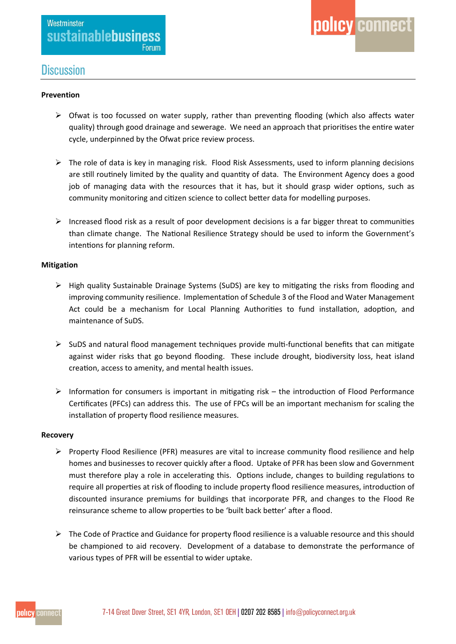### **Discussion**

#### **Prevention**

- $\triangleright$  Ofwat is too focussed on water supply, rather than preventing flooding (which also affects water quality) through good drainage and sewerage. We need an approach that prioritises the entire water cycle, underpinned by the Ofwat price review process.
- $\triangleright$  The role of data is key in managing risk. Flood Risk Assessments, used to inform planning decisions are still routinely limited by the quality and quantity of data. The Environment Agency does a good job of managing data with the resources that it has, but it should grasp wider options, such as community monitoring and citizen science to collect better data for modelling purposes.
- $\triangleright$  Increased flood risk as a result of poor development decisions is a far bigger threat to communities than climate change. The National Resilience Strategy should be used to inform the Government's intentions for planning reform.

#### **Mitigation**

- $\triangleright$  High quality Sustainable Drainage Systems (SuDS) are key to mitigating the risks from flooding and improving community resilience. Implementation of Schedule 3 of the Flood and Water Management Act could be a mechanism for Local Planning Authorities to fund installation, adoption, and maintenance of SuDS.
- $\triangleright$  SuDS and natural flood management techniques provide multi-functional benefits that can mitigate against wider risks that go beyond flooding. These include drought, biodiversity loss, heat island creation, access to amenity, and mental health issues.
- $\triangleright$  Information for consumers is important in mitigating risk the introduction of Flood Performance Certificates (PFCs) can address this. The use of FPCs will be an important mechanism for scaling the installation of property flood resilience measures.

#### **Recovery**

- $\triangleright$  Property Flood Resilience (PFR) measures are vital to increase community flood resilience and help homes and businesses to recover quickly after a flood. Uptake of PFR has been slow and Government must therefore play a role in accelerating this. Options include, changes to building regulations to require all properties at risk of flooding to include property flood resilience measures, introduction of discounted insurance premiums for buildings that incorporate PFR, and changes to the Flood Re reinsurance scheme to allow properties to be 'built back better' after a flood.
- $\triangleright$  The Code of Practice and Guidance for property flood resilience is a valuable resource and this should be championed to aid recovery. Development of a database to demonstrate the performance of various types of PFR will be essential to wider uptake.